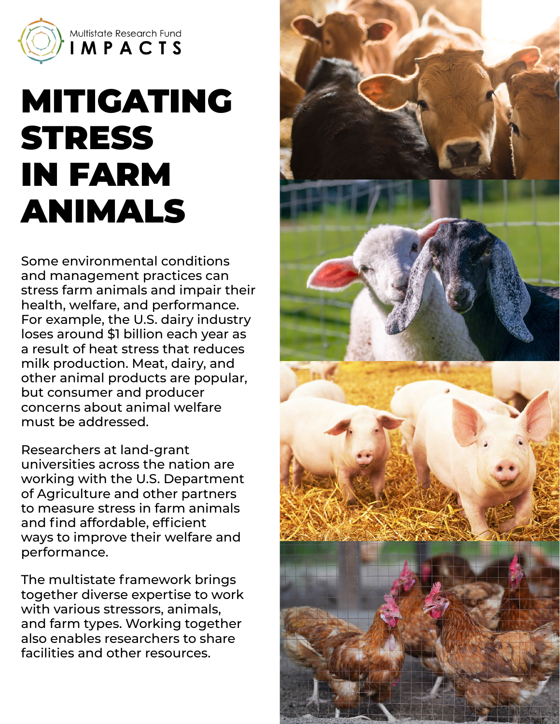

## MITIGATING **STRESS** IN FARM ANIMALS

Some environmental conditions and management practices can stress farm animals and impair their health, welfare, and performance. For example, the U.S. dairy industry loses around \$1 billion each year as a result of heat stress that reduces milk production. Meat, dairy, and other animal products are popular, but consumer and producer concerns about animal welfare must be addressed.

Researchers at land-grant universities across the nation are working with the U.S. Department of Agriculture and other partners to measure stress in farm animals and find affordable, efficient ways to improve their welfare and performance.

The multistate framework brings together diverse expertise to work with various stressors, animals, and farm types. Working together also enables researchers to share facilities and other resources.